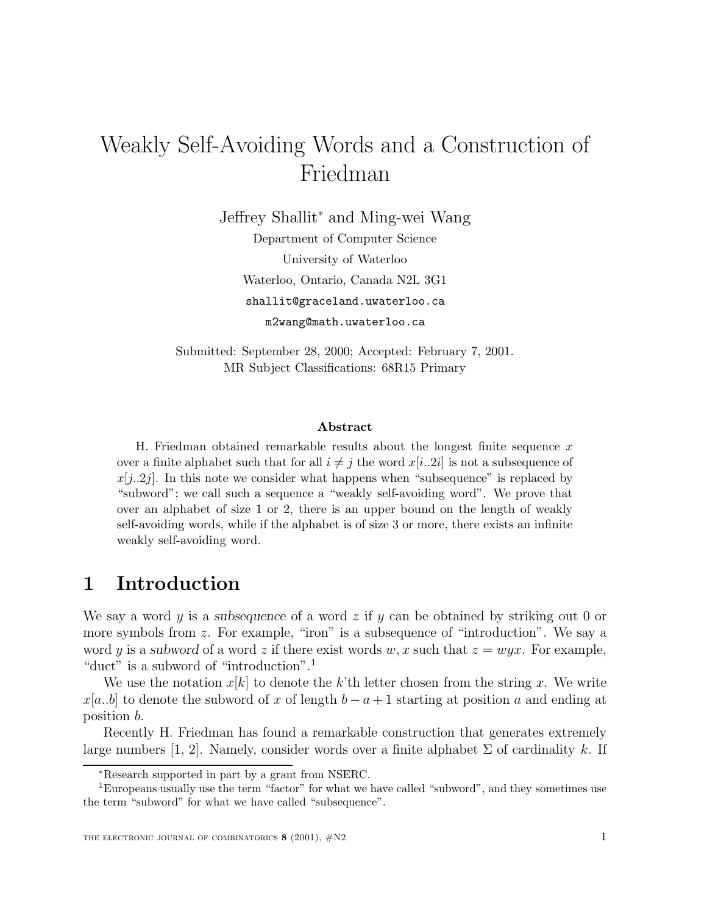# Weakly Self-Avoiding Words and a Construction of Friedman

Jeffrey Shallit<sup>∗</sup> and Ming-wei Wang

Department of Computer Science University of Waterloo Waterloo, Ontario, Canada N2L 3G1 shallit@graceland.uwaterloo.ca m2wang@math.uwaterloo.ca

Submitted: September 28, 2000; Accepted: February 7, 2001. MR Subject Classifications: 68R15 Primary

#### **Abstract**

H. Friedman obtained remarkable results about the longest finite sequence  $x$ over a finite alphabet such that for all  $i \neq j$  the word  $x[i..2i]$  is not a subsequence of  $x[j..2j]$ . In this note we consider what happens when "subsequence" is replaced by "subword"; we call such a sequence a "weakly self-avoiding word". We prove that over an alphabet of size 1 or 2, there is an upper bound on the length of weakly self-avoiding words, while if the alphabet is of size 3 or more, there exists an infinite weakly self-avoiding word.

#### **1 Introduction**

We say a word  $y$  is a *subsequence* of a word  $z$  if  $y$  can be obtained by striking out 0 or more symbols from z. For example, "iron" is a subsequence of "introduction". We say a word y is a *subword* of a word z if there exist words w, x such that  $z = wyx$ . For example, "duct" is a subword of "introduction".<sup>1</sup>

We use the notation  $x[k]$  to denote the k'th letter chosen from the string x. We write  $x[a..b]$  to denote the subword of x of length  $b-a+1$  starting at position a and ending at position b.

Recently H. Friedman has found a remarkable construction that generates extremely large numbers [1, 2]. Namely, consider words over a finite alphabet  $\Sigma$  of cardinality k. If

<sup>∗</sup>Research supported in part by a grant from NSERC.

<sup>1</sup>Europeans usually use the term "factor" for what we have called "subword", and they sometimes use the term "subword" for what we have called "subsequence".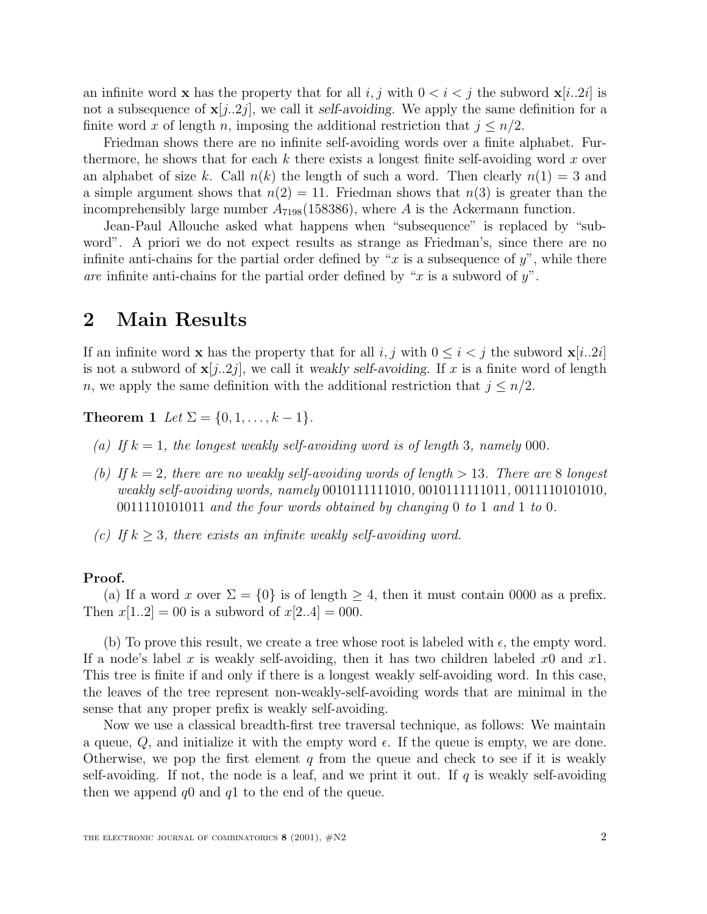an infinite word **x** has the property that for all i, j with  $0 < i < j$  the subword **x**[i..2i] is not a subsequence of  $\mathbf{x}[j..2j]$ , we call it *self-avoiding*. We apply the same definition for a finite word x of length n, imposing the additional restriction that  $j \leq n/2$ .

Friedman shows there are no infinite self-avoiding words over a finite alphabet. Furthermore, he shows that for each k there exists a longest finite self-avoiding word x over an alphabet of size k. Call  $n(k)$  the length of such a word. Then clearly  $n(1) = 3$  and a simple argument shows that  $n(2) = 11$ . Friedman shows that  $n(3)$  is greater than the incomprehensibly large number  $A_{7198}(158386)$ , where A is the Ackermann function.

Jean-Paul Allouche asked what happens when "subsequence" is replaced by "subword". A priori we do not expect results as strange as Friedman's, since there are no infinite anti-chains for the partial order defined by "x is a subsequence of  $y$ ", while there are infinite anti-chains for the partial order defined by "x is a subword of  $y$ ".

#### **2 Main Results**

If an infinite word **x** has the property that for all i, j with  $0 \leq i < j$  the subword **x**[i..2i] is not a subword of  $\mathbf{x}[j..2j]$ , we call it *weakly self-avoiding*. If x is a finite word of length n, we apply the same definition with the additional restriction that  $j \leq n/2$ .

**Theorem 1** Let  $\Sigma = \{0, 1, ..., k-1\}.$ 

- (a) If  $k = 1$ , the longest weakly self-avoiding word is of length 3, namely 000.
- (b) If  $k = 2$ , there are no weakly self-avoiding words of length  $> 13$ . There are 8 longest weakly self-avoiding words, namely 0010111111010, 0010111111011, 0011110101010, 0011110101011 and the four words obtained by changing 0 to 1 and 1 to 0.
- (c) If  $k > 3$ , there exists an infinite weakly self-avoiding word.

#### **Proof.**

(a) If a word x over  $\Sigma = \{0\}$  is of length  $\geq 4$ , then it must contain 0000 as a prefix. Then  $x[1..2] = 00$  is a subword of  $x[2..4] = 000$ .

(b) To prove this result, we create a tree whose root is labeled with  $\epsilon$ , the empty word. If a node's label x is weakly self-avoiding, then it has two children labeled  $x_0$  and  $x_1$ . This tree is finite if and only if there is a longest weakly self-avoiding word. In this case, the leaves of the tree represent non-weakly-self-avoiding words that are minimal in the sense that any proper prefix is weakly self-avoiding.

Now we use a classical breadth-first tree traversal technique, as follows: We maintain a queue,  $Q$ , and initialize it with the empty word  $\epsilon$ . If the queue is empty, we are done. Otherwise, we pop the first element q from the queue and check to see if it is weakly self-avoiding. If not, the node is a leaf, and we print it out. If q is weakly self-avoiding then we append  $q0$  and  $q1$  to the end of the queue.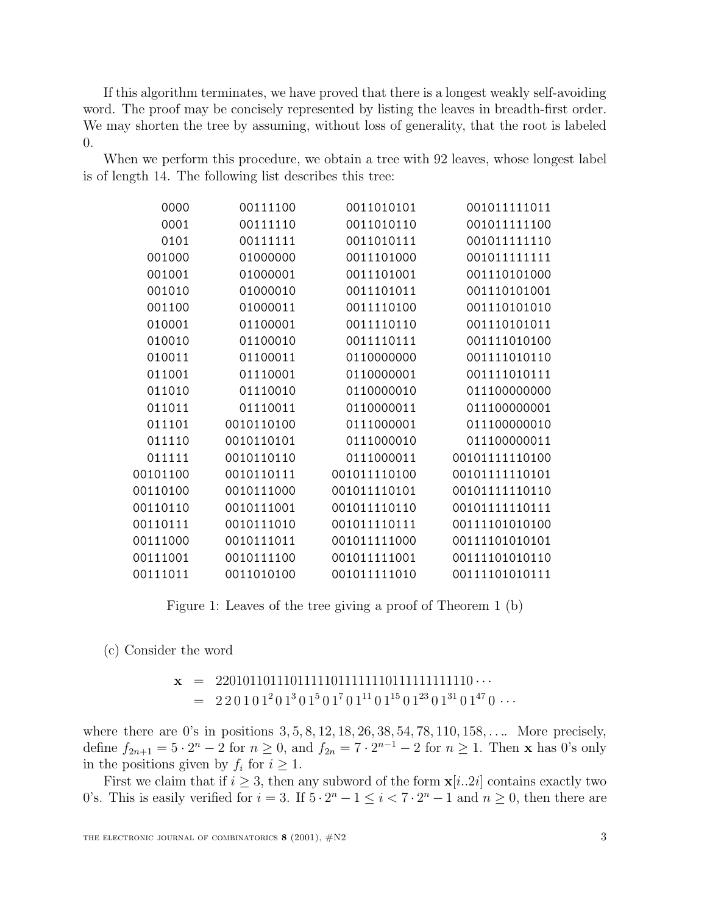If this algorithm terminates, we have proved that there is a longest weakly self-avoiding word. The proof may be concisely represented by listing the leaves in breadth-first order. We may shorten the tree by assuming, without loss of generality, that the root is labeled 0.

When we perform this procedure, we obtain a tree with 92 leaves, whose longest label is of length 14. The following list describes this tree:

| 0000     | 00111100   | 0011010101   | 001011111011   |
|----------|------------|--------------|----------------|
| 0001     | 00111110   | 0011010110   | 001011111100   |
| 0101     | 00111111   | 0011010111   | 001011111110   |
| 001000   | 01000000   | 0011101000   | 001011111111   |
| 001001   | 01000001   | 0011101001   | 001110101000   |
| 001010   | 01000010   | 0011101011   | 001110101001   |
| 001100   | 01000011   | 0011110100   | 001110101010   |
| 010001   | 01100001   | 0011110110   | 001110101011   |
| 010010   | 01100010   | 0011110111   | 001111010100   |
| 010011   | 01100011   | 0110000000   | 001111010110   |
| 011001   | 01110001   | 0110000001   | 001111010111   |
| 011010   | 01110010   | 0110000010   | 011100000000   |
| 011011   | 01110011   | 0110000011   | 011100000001   |
| 011101   | 0010110100 | 0111000001   | 011100000010   |
| 011110   | 0010110101 | 0111000010   | 011100000011   |
| 011111   | 0010110110 | 0111000011   | 00101111110100 |
| 00101100 | 0010110111 | 001011110100 | 00101111110101 |
| 00110100 | 0010111000 | 001011110101 | 00101111110110 |
| 00110110 | 0010111001 | 001011110110 | 00101111110111 |
| 00110111 | 0010111010 | 001011110111 | 00111101010100 |
| 00111000 | 0010111011 | 001011111000 | 00111101010101 |
| 00111001 | 0010111100 | 001011111001 | 00111101010110 |
| 00111011 | 0011010100 | 001011111010 | 00111101010111 |

Figure 1: Leaves of the tree giving a proof of Theorem 1 (b)

(c) Consider the word

**x** = 22010110111011111011111110111111111110 ···  $= 220101<sup>2</sup>01<sup>3</sup>01<sup>5</sup>01<sup>7</sup>01<sup>11</sup>01<sup>15</sup>01<sup>23</sup>01<sup>31</sup>01<sup>47</sup>0...$ 

where there are 0's in positions  $3, 5, 8, 12, 18, 26, 38, 54, 78, 110, 158, \ldots$  More precisely, define  $f_{2n+1} = 5 \cdot 2^n - 2$  for  $n \ge 0$ , and  $f_{2n} = 7 \cdot 2^{n-1} - 2$  for  $n \ge 1$ . Then **x** has 0's only in the positions given by  $f_i$  for  $i \geq 1$ .

First we claim that if  $i \geq 3$ , then any subword of the form  $\mathbf{x}[i..2i]$  contains exactly two 0's. This is easily verified for  $i = 3$ . If  $5 \cdot 2^n - 1 \le i < 7 \cdot 2^n - 1$  and  $n \ge 0$ , then there are